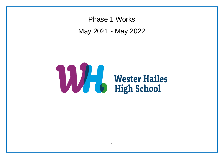Phase 1 Works May 2021 - May 2022

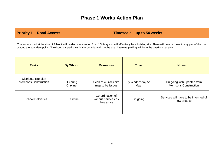# **Phase 1 Works Action Plan**

| <b>Priority 1 – Road Access</b>                                                                                                                                                                                                                                                                                                |                     |                                                        | Timescale – up to 54 weeks |                                     |                                                             |
|--------------------------------------------------------------------------------------------------------------------------------------------------------------------------------------------------------------------------------------------------------------------------------------------------------------------------------|---------------------|--------------------------------------------------------|----------------------------|-------------------------------------|-------------------------------------------------------------|
| The access road at the side of A block will be decommissioned from 10 <sup>th</sup> May and will effectively be a building site. There will be no access to any part of the road<br>beyond the boundary point. All existing car parks within the boundary will not be use. Alternate parking will be in the overflow car park. |                     |                                                        |                            |                                     |                                                             |
| <b>Tasks</b>                                                                                                                                                                                                                                                                                                                   | <b>By Whom</b>      | <b>Resources</b>                                       |                            | <b>Time</b>                         | <b>Notes</b>                                                |
| Distribute site plan<br><b>Morrisons Construction</b>                                                                                                                                                                                                                                                                          | D Young<br>C Irvine | Scan of A Block site<br>map to be issues               |                            | By Wednesday 5 <sup>th</sup><br>May | On going with updates from<br><b>Morrisons Construction</b> |
| <b>School Deliveries</b>                                                                                                                                                                                                                                                                                                       | C Irvine            | Co-ordination of<br>various services as<br>they arrive |                            | On going                            | Services will have to be informed of<br>new protocol        |
|                                                                                                                                                                                                                                                                                                                                |                     |                                                        |                            |                                     |                                                             |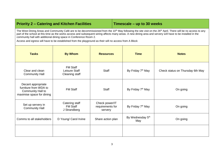## **Priority 2 – Catering and Kitchen Facilities | Timescale – up to 30 weeks**

The West Dining Areas and Community Café are to be decommissioned from the 10<sup>th</sup> May following the site visit on the 26<sup>th</sup> April. There will be no access to any part of the school at this time as the works access and subsequent wiring affects many areas. A new dining area and servery will have to be installed in the community hall with additional dining space in Conference Room 2.

Access and egress will have to be established from the playground as their will no access from A Block

| <b>Tasks</b>                                                                                  | <b>By Whom</b>                                     | <b>Resources</b>                              | <b>Time</b>                   | <b>Notes</b>                     |
|-----------------------------------------------------------------------------------------------|----------------------------------------------------|-----------------------------------------------|-------------------------------|----------------------------------|
| Clear and clean<br><b>Community Hall</b>                                                      | <b>FM Staff</b><br>Leisure Staff<br>Cleaning staff | <b>Staff</b>                                  | By Friday 7 <sup>th</sup> May | Check status on Thursday 6th May |
| Decant appropriate<br>furniture from WDA to<br>Community Hall to<br>maximise space for dining | <b>FM Staff</b>                                    | Staff                                         | By Friday 7 <sup>th</sup> May | On going                         |
| Set up servery in<br><b>Community Hall</b>                                                    | Catering staff<br><b>FM Staff</b><br>J Strandberg  | Check power/IT<br>requirements for<br>servery | By Friday 7 <sup>th</sup> May | On going                         |
| Comms to all stakeholders                                                                     | D Young/ Carol Irvine                              | Share action plan                             | By Wednesday 5th<br>May       | On going                         |
|                                                                                               |                                                    |                                               |                               |                                  |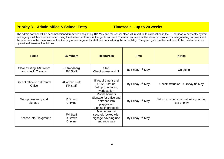### **Priority 3 – Admin office & School Entry Timescale – up to 20 weeks**

The admin corridor will be decommissioned from week beginning 10<sup>th</sup> May and the school office will revert to its old location in the ST corridor. A new entry system and signage will have to be created using the disabled entrance at the gable end wall. The main entrance will be decommissioned for safeguarding purposes and the side door in the main foyer will be the only access/egress for staff and pupils during the school day. The green gate function will need to be used more in an operational sense at lunchtimes.

| <b>Tasks</b>                                   | <b>By Whom</b>                         | <b>Resources</b>                                                                                 | <b>Time</b>                   | <b>Notes</b>                                           |
|------------------------------------------------|----------------------------------------|--------------------------------------------------------------------------------------------------|-------------------------------|--------------------------------------------------------|
| Clear existing TAG room<br>and check IT status | J Strandberg<br><b>FM Staff</b>        | Staff<br>Check power and IT                                                                      | By Friday 7 <sup>th</sup> May | On going                                               |
| Decant office to old Centre<br>Office          | All admin staff<br>FM staff            | IT requirement and<br>COVID set up<br>Set up front facing<br>work station                        | By Friday 7 <sup>th</sup> May | Check status on Thursday 8th May                       |
| Set up new entry and<br>signage                | R Brown<br>C Irvine                    | Mobile barriers<br>Signage for office and<br>entrance into<br>playground<br>Signing in protocols | By Friday 7 <sup>th</sup> May | Set up must ensure that safe guarding<br>is a priority |
| Access into Playground                         | <b>FM Staff</b><br>R Brown<br>C Irvine | Main entrance<br>securely locked with<br>signage advising use<br>entrance way                    | By Friday 7 <sup>th</sup> May |                                                        |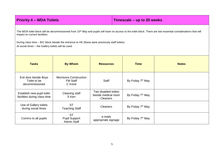| <b>Priority 4 - WDA Toilets</b>                                                                                                                                                                                                                                                                                                                                     |                                                              |                                                                | Timescale - up to 20 weeks    |              |  |
|---------------------------------------------------------------------------------------------------------------------------------------------------------------------------------------------------------------------------------------------------------------------------------------------------------------------------------------------------------------------|--------------------------------------------------------------|----------------------------------------------------------------|-------------------------------|--------------|--|
| The WDA toilet block will be decommissioned from 10 <sup>th</sup> May and pupils will have no access to the toilet block. There are two essential considerations that will<br>impact on current facilities.<br>During class time - B/C block beside the entrance to HE (these were previously staff toilets)<br>At social times - the Gallery toilets will be used. |                                                              |                                                                |                               |              |  |
| <b>Tasks</b>                                                                                                                                                                                                                                                                                                                                                        | <b>By Whom</b>                                               | <b>Resources</b>                                               | <b>Time</b>                   | <b>Notes</b> |  |
| Exit door beside Boys<br>Toilet to be<br>decommissioned                                                                                                                                                                                                                                                                                                             | <b>Morrisons Construction</b><br><b>FM Staff</b><br>C Irvine | <b>Staff</b>                                                   | By Friday 7 <sup>th</sup> May |              |  |
| Establish new pupil toilet<br>facilities during class time                                                                                                                                                                                                                                                                                                          | Cleaning staff<br>S Kerr                                     | Two disabled toilets<br>beside medical room<br><b>Cleaners</b> | By Friday 7 <sup>th</sup> May |              |  |
| Use of Gallery toilets<br>during social times                                                                                                                                                                                                                                                                                                                       | <b>ST</b><br><b>Teaching Staff</b>                           | <b>Cleaners</b>                                                | By Friday 7 <sup>th</sup> May |              |  |
| Comms to all pupils                                                                                                                                                                                                                                                                                                                                                 | <b>ST</b><br><b>Pupil Support</b><br><b>Admin Staff</b>      | e-mails<br>appropriate signage                                 | By Friday 7 <sup>th</sup> May |              |  |